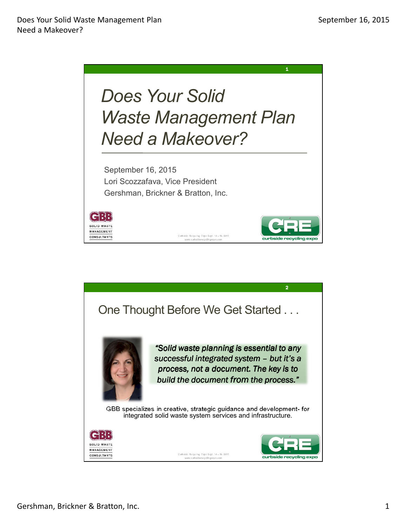

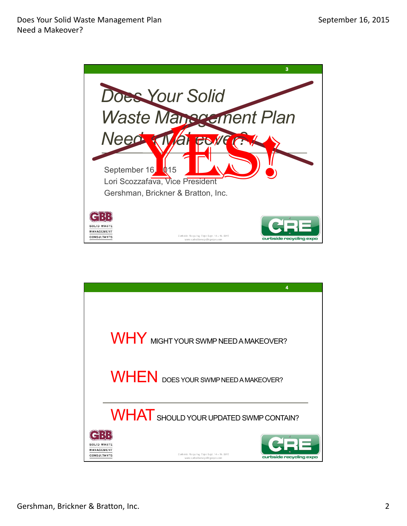

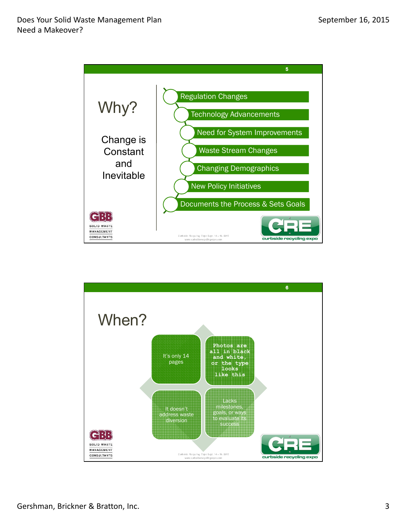

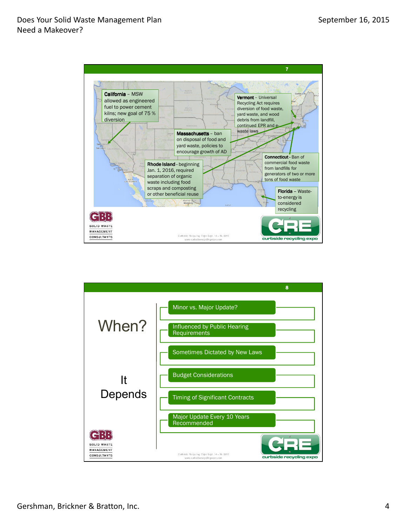

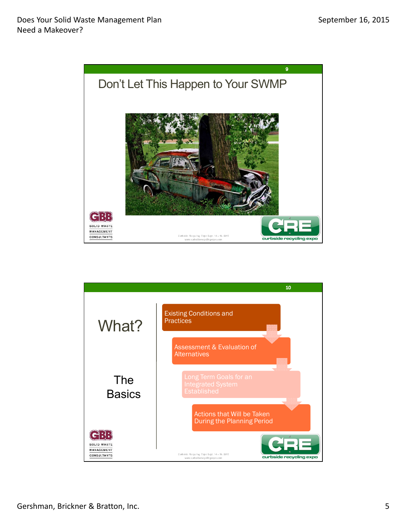

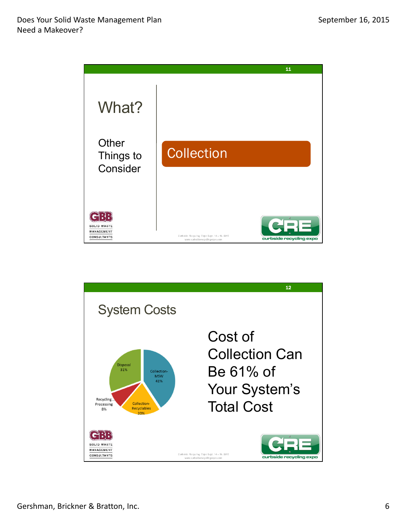

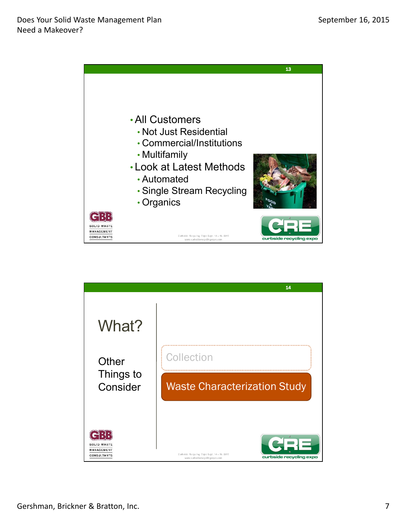

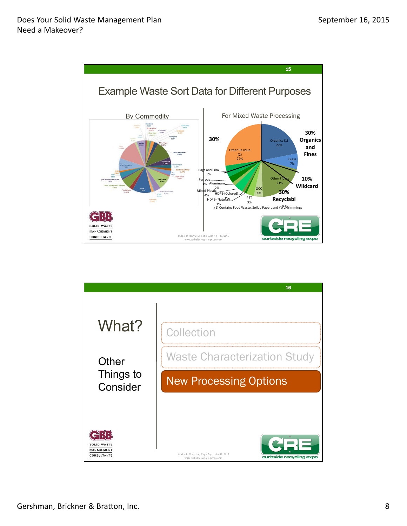

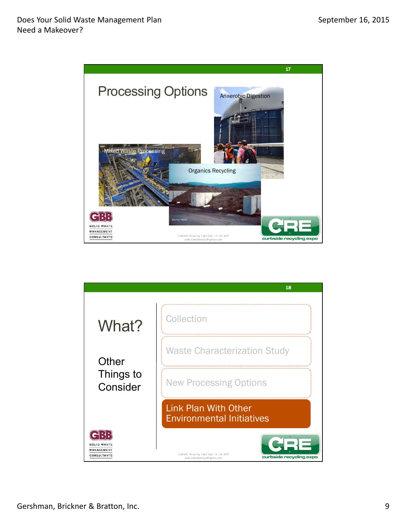

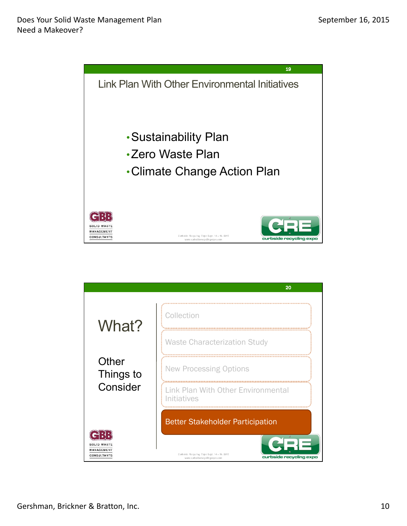

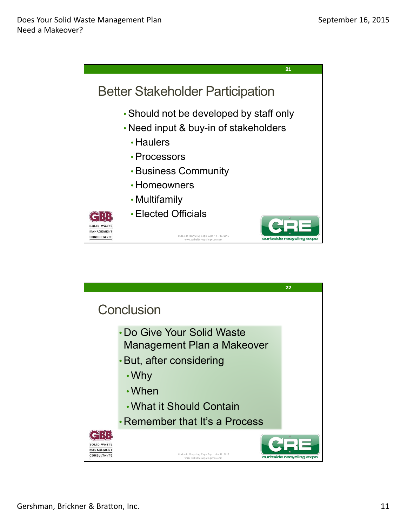